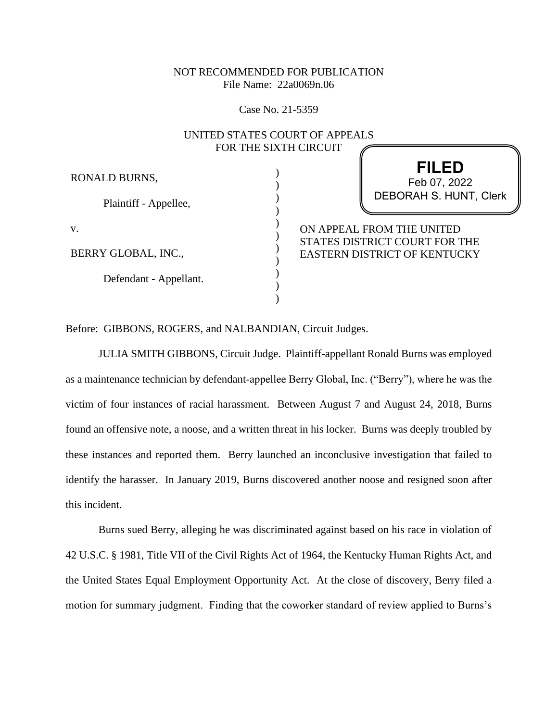# NOT RECOMMENDED FOR PUBLICATION File Name: 22a0069n.06

Case No. 21-5359

# UNITED STATES COURT OF APPEALS FOR THE SIXTH CIRCUIT

) ) ) ) ) ) ) ) ) ) )

RONALD BURNS,

Plaintiff - Appellee,

v.

BERRY GLOBAL, INC.,

Defendant - Appellant.

**FILED** DEBORAH S. HUNT, Clerk Feb 07, 2022

ON APPEAL FROM THE UNITED STATES DISTRICT COURT FOR THE EASTERN DISTRICT OF KENTUCKY

Before: GIBBONS, ROGERS, and NALBANDIAN, Circuit Judges.

JULIA SMITH GIBBONS, Circuit Judge. Plaintiff-appellant Ronald Burns was employed as a maintenance technician by defendant-appellee Berry Global, Inc. ("Berry"), where he was the victim of four instances of racial harassment. Between August 7 and August 24, 2018, Burns found an offensive note, a noose, and a written threat in his locker. Burns was deeply troubled by these instances and reported them. Berry launched an inconclusive investigation that failed to identify the harasser. In January 2019, Burns discovered another noose and resigned soon after this incident.

Burns sued Berry, alleging he was discriminated against based on his race in violation of 42 U.S.C. § 1981, Title VII of the Civil Rights Act of 1964, the Kentucky Human Rights Act, and the United States Equal Employment Opportunity Act. At the close of discovery, Berry filed a motion for summary judgment. Finding that the coworker standard of review applied to Burns's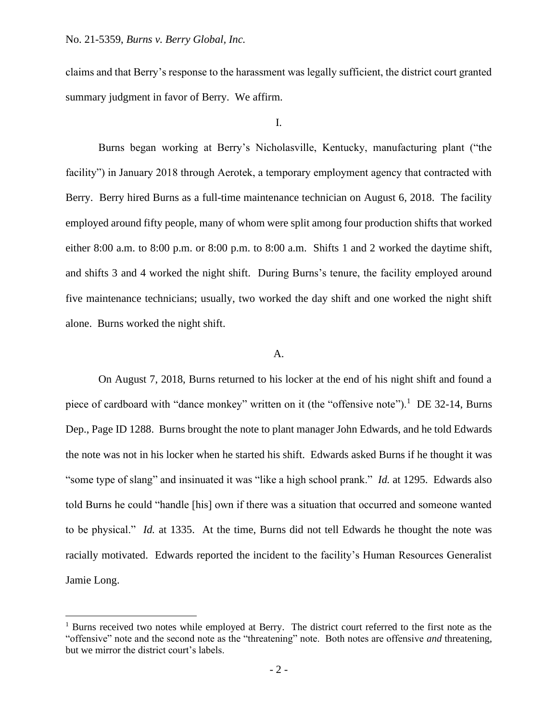claims and that Berry's response to the harassment was legally sufficient, the district court granted summary judgment in favor of Berry. We affirm.

I.

Burns began working at Berry's Nicholasville, Kentucky, manufacturing plant ("the facility") in January 2018 through Aerotek, a temporary employment agency that contracted with Berry. Berry hired Burns as a full-time maintenance technician on August 6, 2018. The facility employed around fifty people, many of whom were split among four production shifts that worked either 8:00 a.m. to 8:00 p.m. or 8:00 p.m. to 8:00 a.m. Shifts 1 and 2 worked the daytime shift, and shifts 3 and 4 worked the night shift. During Burns's tenure, the facility employed around five maintenance technicians; usually, two worked the day shift and one worked the night shift alone. Burns worked the night shift.

#### A.

On August 7, 2018, Burns returned to his locker at the end of his night shift and found a piece of cardboard with "dance monkey" written on it (the "offensive note").<sup>1</sup> DE 32-14, Burns Dep., Page ID 1288. Burns brought the note to plant manager John Edwards, and he told Edwards the note was not in his locker when he started his shift. Edwards asked Burns if he thought it was "some type of slang" and insinuated it was "like a high school prank." *Id.* at 1295. Edwards also told Burns he could "handle [his] own if there was a situation that occurred and someone wanted to be physical." *Id.* at 1335. At the time, Burns did not tell Edwards he thought the note was racially motivated. Edwards reported the incident to the facility's Human Resources Generalist Jamie Long.

<sup>&</sup>lt;sup>1</sup> Burns received two notes while employed at Berry. The district court referred to the first note as the "offensive" note and the second note as the "threatening" note. Both notes are offensive *and* threatening, but we mirror the district court's labels.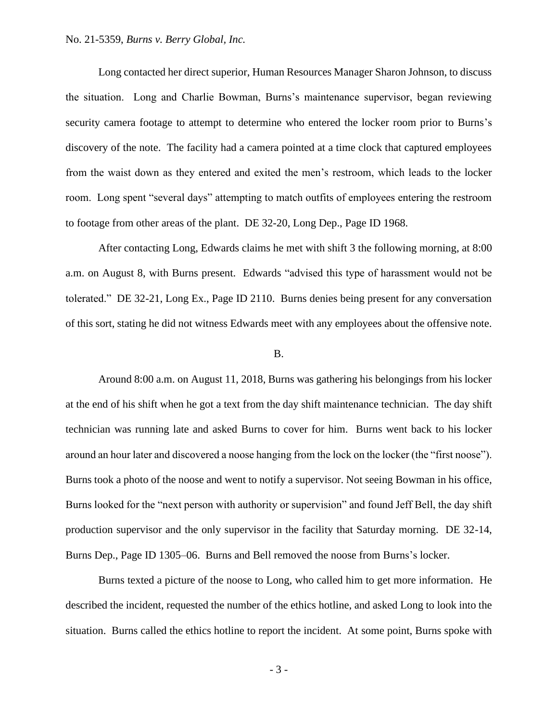## No. 21-5359, *Burns v. Berry Global, Inc.*

Long contacted her direct superior, Human Resources Manager Sharon Johnson, to discuss the situation. Long and Charlie Bowman, Burns's maintenance supervisor, began reviewing security camera footage to attempt to determine who entered the locker room prior to Burns's discovery of the note. The facility had a camera pointed at a time clock that captured employees from the waist down as they entered and exited the men's restroom, which leads to the locker room. Long spent "several days" attempting to match outfits of employees entering the restroom to footage from other areas of the plant. DE 32-20, Long Dep., Page ID 1968.

After contacting Long, Edwards claims he met with shift 3 the following morning, at 8:00 a.m. on August 8, with Burns present. Edwards "advised this type of harassment would not be tolerated." DE 32-21, Long Ex., Page ID 2110. Burns denies being present for any conversation of this sort, stating he did not witness Edwards meet with any employees about the offensive note.

#### B.

Around 8:00 a.m. on August 11, 2018, Burns was gathering his belongings from his locker at the end of his shift when he got a text from the day shift maintenance technician. The day shift technician was running late and asked Burns to cover for him. Burns went back to his locker around an hour later and discovered a noose hanging from the lock on the locker (the "first noose"). Burns took a photo of the noose and went to notify a supervisor. Not seeing Bowman in his office, Burns looked for the "next person with authority or supervision" and found Jeff Bell, the day shift production supervisor and the only supervisor in the facility that Saturday morning. DE 32-14, Burns Dep., Page ID 1305–06. Burns and Bell removed the noose from Burns's locker.

Burns texted a picture of the noose to Long, who called him to get more information. He described the incident, requested the number of the ethics hotline, and asked Long to look into the situation. Burns called the ethics hotline to report the incident. At some point, Burns spoke with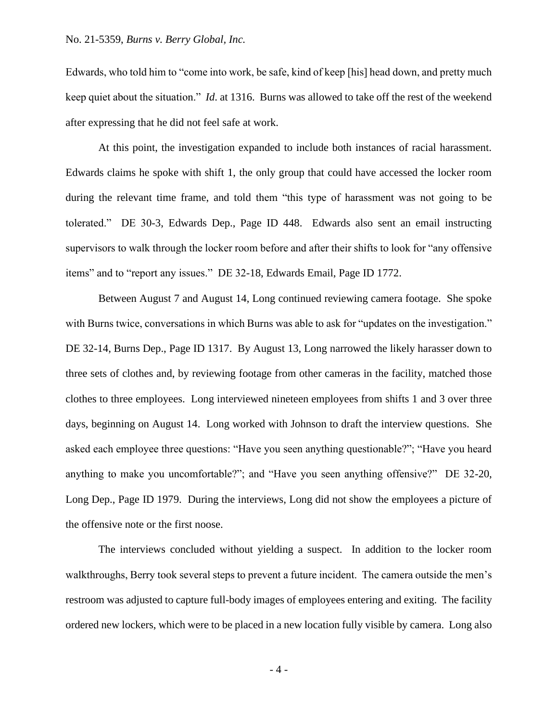Edwards, who told him to "come into work, be safe, kind of keep [his] head down, and pretty much keep quiet about the situation." *Id*. at 1316. Burns was allowed to take off the rest of the weekend after expressing that he did not feel safe at work.

At this point, the investigation expanded to include both instances of racial harassment. Edwards claims he spoke with shift 1, the only group that could have accessed the locker room during the relevant time frame, and told them "this type of harassment was not going to be tolerated." DE 30-3, Edwards Dep., Page ID 448. Edwards also sent an email instructing supervisors to walk through the locker room before and after their shifts to look for "any offensive items" and to "report any issues." DE 32-18, Edwards Email, Page ID 1772.

Between August 7 and August 14, Long continued reviewing camera footage. She spoke with Burns twice, conversations in which Burns was able to ask for "updates on the investigation." DE 32-14, Burns Dep., Page ID 1317. By August 13, Long narrowed the likely harasser down to three sets of clothes and, by reviewing footage from other cameras in the facility, matched those clothes to three employees. Long interviewed nineteen employees from shifts 1 and 3 over three days, beginning on August 14. Long worked with Johnson to draft the interview questions. She asked each employee three questions: "Have you seen anything questionable?"; "Have you heard anything to make you uncomfortable?"; and "Have you seen anything offensive?" DE 32-20, Long Dep., Page ID 1979. During the interviews, Long did not show the employees a picture of the offensive note or the first noose.

The interviews concluded without yielding a suspect. In addition to the locker room walkthroughs, Berry took several steps to prevent a future incident. The camera outside the men's restroom was adjusted to capture full-body images of employees entering and exiting. The facility ordered new lockers, which were to be placed in a new location fully visible by camera. Long also

- 4 -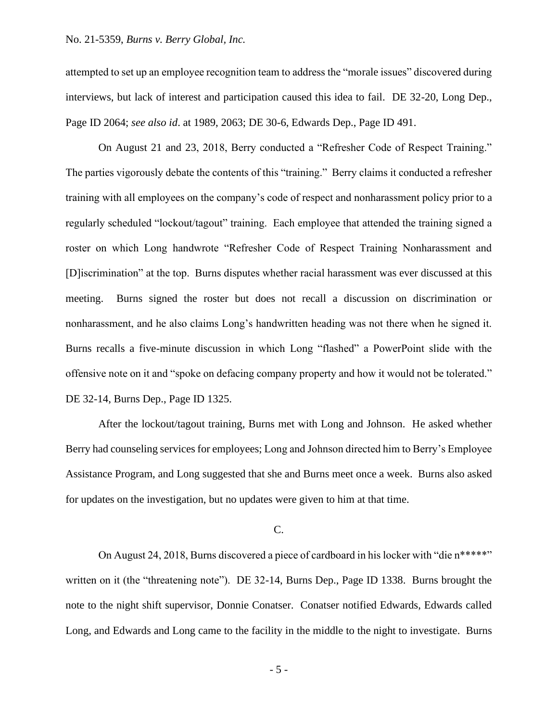## No. 21-5359, *Burns v. Berry Global, Inc.*

attempted to set up an employee recognition team to address the "morale issues" discovered during interviews, but lack of interest and participation caused this idea to fail. DE 32-20, Long Dep., Page ID 2064; *see also id*. at 1989, 2063; DE 30-6, Edwards Dep., Page ID 491.

On August 21 and 23, 2018, Berry conducted a "Refresher Code of Respect Training." The parties vigorously debate the contents of this "training." Berry claims it conducted a refresher training with all employees on the company's code of respect and nonharassment policy prior to a regularly scheduled "lockout/tagout" training. Each employee that attended the training signed a roster on which Long handwrote "Refresher Code of Respect Training Nonharassment and [D]iscrimination" at the top. Burns disputes whether racial harassment was ever discussed at this meeting. Burns signed the roster but does not recall a discussion on discrimination or nonharassment, and he also claims Long's handwritten heading was not there when he signed it. Burns recalls a five-minute discussion in which Long "flashed" a PowerPoint slide with the offensive note on it and "spoke on defacing company property and how it would not be tolerated." DE 32-14, Burns Dep., Page ID 1325.

After the lockout/tagout training, Burns met with Long and Johnson. He asked whether Berry had counseling services for employees; Long and Johnson directed him to Berry's Employee Assistance Program, and Long suggested that she and Burns meet once a week. Burns also asked for updates on the investigation, but no updates were given to him at that time.

#### C.

On August 24, 2018, Burns discovered a piece of cardboard in his locker with "die n\*\*\*\*\*" written on it (the "threatening note"). DE 32-14, Burns Dep., Page ID 1338. Burns brought the note to the night shift supervisor, Donnie Conatser. Conatser notified Edwards, Edwards called Long, and Edwards and Long came to the facility in the middle to the night to investigate. Burns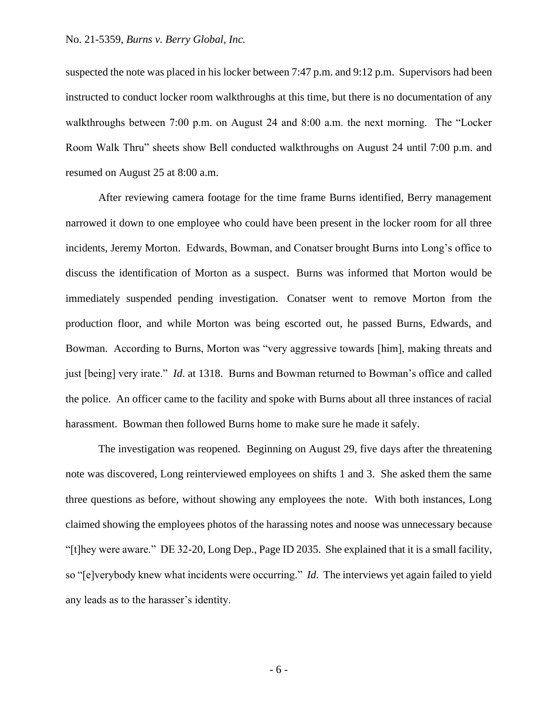suspected the note was placed in his locker between 7:47 p.m. and 9:12 p.m. Supervisors had been instructed to conduct locker room walkthroughs at this time, but there is no documentation of any walkthroughs between 7:00 p.m. on August 24 and 8:00 a.m. the next morning. The "Locker Room Walk Thru" sheets show Bell conducted walkthroughs on August 24 until 7:00 p.m. and resumed on August 25 at 8:00 a.m.

After reviewing camera footage for the time frame Burns identified, Berry management narrowed it down to one employee who could have been present in the locker room for all three incidents, Jeremy Morton. Edwards, Bowman, and Conatser brought Burns into Long's office to discuss the identification of Morton as a suspect. Burns was informed that Morton would be immediately suspended pending investigation. Conatser went to remove Morton from the production floor, and while Morton was being escorted out, he passed Burns, Edwards, and Bowman. According to Burns, Morton was "very aggressive towards [him], making threats and just [being] very irate." *Id*. at 1318. Burns and Bowman returned to Bowman's office and called the police. An officer came to the facility and spoke with Burns about all three instances of racial harassment. Bowman then followed Burns home to make sure he made it safely.

The investigation was reopened. Beginning on August 29, five days after the threatening note was discovered, Long reinterviewed employees on shifts 1 and 3. She asked them the same three questions as before, without showing any employees the note. With both instances, Long claimed showing the employees photos of the harassing notes and noose was unnecessary because "[t]hey were aware." DE 32-20, Long Dep., Page ID 2035. She explained that it is a small facility, so "[e]verybody knew what incidents were occurring." *Id*. The interviews yet again failed to yield any leads as to the harasser's identity.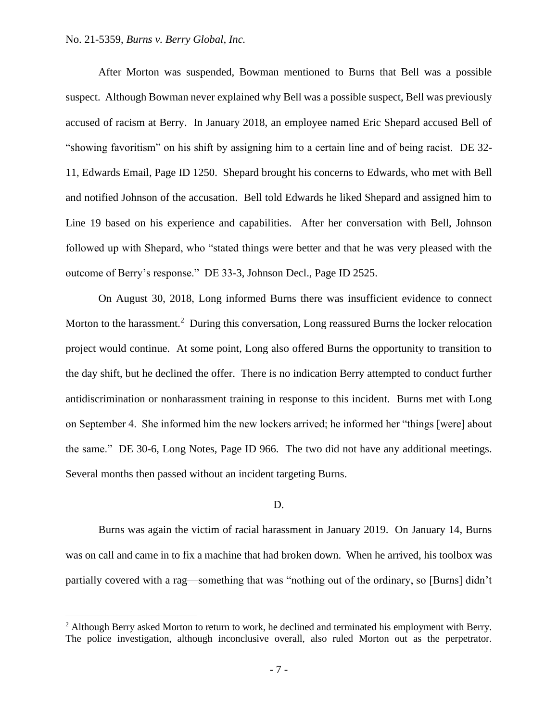## No. 21-5359, *Burns v. Berry Global, Inc.*

After Morton was suspended, Bowman mentioned to Burns that Bell was a possible suspect. Although Bowman never explained why Bell was a possible suspect, Bell was previously accused of racism at Berry. In January 2018, an employee named Eric Shepard accused Bell of "showing favoritism" on his shift by assigning him to a certain line and of being racist. DE 32- 11, Edwards Email, Page ID 1250. Shepard brought his concerns to Edwards, who met with Bell and notified Johnson of the accusation. Bell told Edwards he liked Shepard and assigned him to Line 19 based on his experience and capabilities. After her conversation with Bell, Johnson followed up with Shepard, who "stated things were better and that he was very pleased with the outcome of Berry's response." DE 33-3, Johnson Decl., Page ID 2525.

On August 30, 2018, Long informed Burns there was insufficient evidence to connect Morton to the harassment.<sup>2</sup> During this conversation, Long reassured Burns the locker relocation project would continue. At some point, Long also offered Burns the opportunity to transition to the day shift, but he declined the offer. There is no indication Berry attempted to conduct further antidiscrimination or nonharassment training in response to this incident. Burns met with Long on September 4. She informed him the new lockers arrived; he informed her "things [were] about the same." DE 30-6, Long Notes, Page ID 966. The two did not have any additional meetings. Several months then passed without an incident targeting Burns.

## D.

Burns was again the victim of racial harassment in January 2019. On January 14, Burns was on call and came in to fix a machine that had broken down. When he arrived, his toolbox was partially covered with a rag—something that was "nothing out of the ordinary, so [Burns] didn't

 $<sup>2</sup>$  Although Berry asked Morton to return to work, he declined and terminated his employment with Berry.</sup> The police investigation, although inconclusive overall, also ruled Morton out as the perpetrator.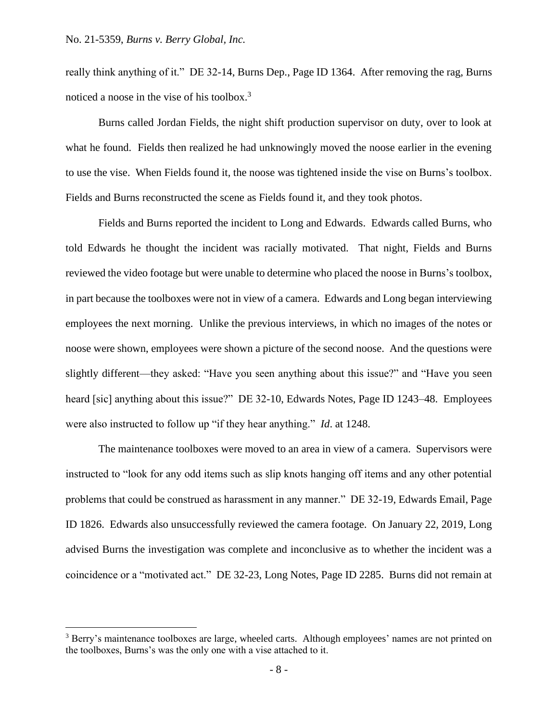really think anything of it." DE 32-14, Burns Dep., Page ID 1364. After removing the rag, Burns noticed a noose in the vise of his toolbox.<sup>3</sup>

Burns called Jordan Fields, the night shift production supervisor on duty, over to look at what he found. Fields then realized he had unknowingly moved the noose earlier in the evening to use the vise. When Fields found it, the noose was tightened inside the vise on Burns's toolbox. Fields and Burns reconstructed the scene as Fields found it, and they took photos.

Fields and Burns reported the incident to Long and Edwards. Edwards called Burns, who told Edwards he thought the incident was racially motivated. That night, Fields and Burns reviewed the video footage but were unable to determine who placed the noose in Burns's toolbox, in part because the toolboxes were not in view of a camera. Edwards and Long began interviewing employees the next morning. Unlike the previous interviews, in which no images of the notes or noose were shown, employees were shown a picture of the second noose. And the questions were slightly different—they asked: "Have you seen anything about this issue?" and "Have you seen heard [sic] anything about this issue?" DE 32-10, Edwards Notes, Page ID 1243-48. Employees were also instructed to follow up "if they hear anything." *Id*. at 1248.

The maintenance toolboxes were moved to an area in view of a camera. Supervisors were instructed to "look for any odd items such as slip knots hanging off items and any other potential problems that could be construed as harassment in any manner." DE 32-19, Edwards Email, Page ID 1826. Edwards also unsuccessfully reviewed the camera footage. On January 22, 2019, Long advised Burns the investigation was complete and inconclusive as to whether the incident was a coincidence or a "motivated act." DE 32-23, Long Notes, Page ID 2285. Burns did not remain at

<sup>&</sup>lt;sup>3</sup> Berry's maintenance toolboxes are large, wheeled carts. Although employees' names are not printed on the toolboxes, Burns's was the only one with a vise attached to it.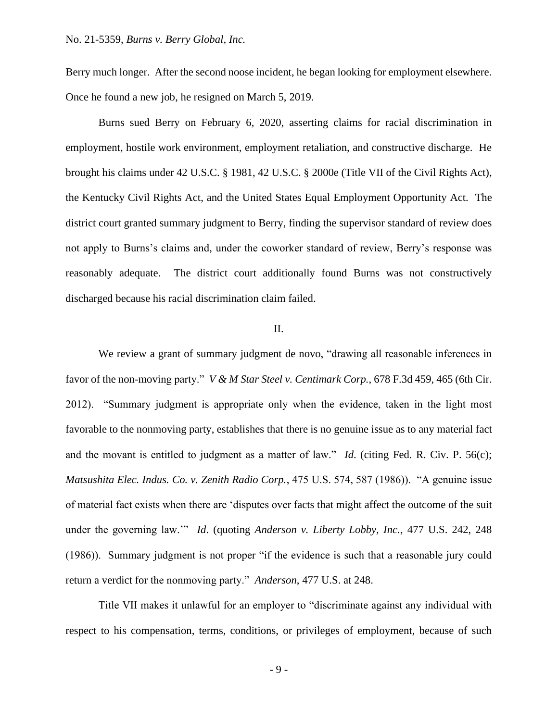Berry much longer. After the second noose incident, he began looking for employment elsewhere. Once he found a new job, he resigned on March 5, 2019.

Burns sued Berry on February 6, 2020, asserting claims for racial discrimination in employment, hostile work environment, employment retaliation, and constructive discharge. He brought his claims under 42 U.S.C. § 1981, 42 U.S.C. § 2000e (Title VII of the Civil Rights Act), the Kentucky Civil Rights Act, and the United States Equal Employment Opportunity Act. The district court granted summary judgment to Berry, finding the supervisor standard of review does not apply to Burns's claims and, under the coworker standard of review, Berry's response was reasonably adequate. The district court additionally found Burns was not constructively discharged because his racial discrimination claim failed.

## II.

We review a grant of summary judgment de novo, "drawing all reasonable inferences in favor of the non-moving party." *V & M Star Steel v. Centimark Corp.*, 678 F.3d 459, 465 (6th Cir. 2012). "Summary judgment is appropriate only when the evidence, taken in the light most favorable to the nonmoving party, establishes that there is no genuine issue as to any material fact and the movant is entitled to judgment as a matter of law." *Id*. (citing Fed. R. Civ. P. 56(c); *Matsushita Elec. Indus. Co. v. Zenith Radio Corp.*, 475 U.S. 574, 587 (1986)). "A genuine issue of material fact exists when there are 'disputes over facts that might affect the outcome of the suit under the governing law.'" *Id*. (quoting *Anderson v. Liberty Lobby, Inc.*, 477 U.S. 242, 248 (1986)). Summary judgment is not proper "if the evidence is such that a reasonable jury could return a verdict for the nonmoving party." *Anderson*, 477 U.S. at 248.

Title VII makes it unlawful for an employer to "discriminate against any individual with respect to his compensation, terms, conditions, or privileges of employment, because of such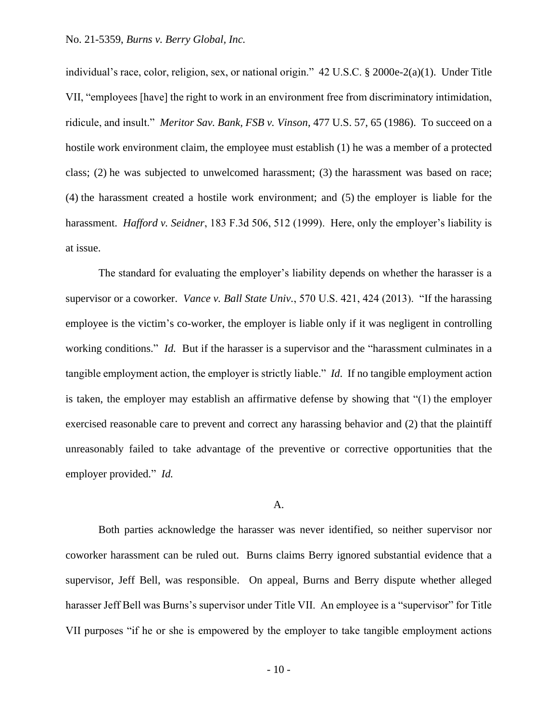individual's race, color, religion, sex, or national origin." 42 U.S.C. § 2000e-2(a)(1). Under Title VII, "employees [have] the right to work in an environment free from discriminatory intimidation, ridicule, and insult." *Meritor Sav. Bank, FSB v. Vinson*, 477 U.S. 57, 65 (1986). To succeed on a hostile work environment claim, the employee must establish (1) he was a member of a protected class; (2) he was subjected to unwelcomed harassment; (3) the harassment was based on race; (4) the harassment created a hostile work environment; and (5) the employer is liable for the harassment. *Hafford v. Seidner*, 183 F.3d 506, 512 (1999). Here, only the employer's liability is at issue.

The standard for evaluating the employer's liability depends on whether the harasser is a supervisor or a coworker. *Vance v. Ball State Univ.*, 570 U.S. 421, 424 (2013). "If the harassing employee is the victim's co-worker, the employer is liable only if it was negligent in controlling working conditions." *Id.* But if the harasser is a supervisor and the "harassment culminates in a tangible employment action, the employer is strictly liable." *Id*. If no tangible employment action is taken, the employer may establish an affirmative defense by showing that "(1) the employer exercised reasonable care to prevent and correct any harassing behavior and (2) that the plaintiff unreasonably failed to take advantage of the preventive or corrective opportunities that the employer provided." *Id.*

# A.

Both parties acknowledge the harasser was never identified, so neither supervisor nor coworker harassment can be ruled out. Burns claims Berry ignored substantial evidence that a supervisor, Jeff Bell, was responsible. On appeal, Burns and Berry dispute whether alleged harasser Jeff Bell was Burns's supervisor under Title VII. An employee is a "supervisor" for Title VII purposes "if he or she is empowered by the employer to take tangible employment actions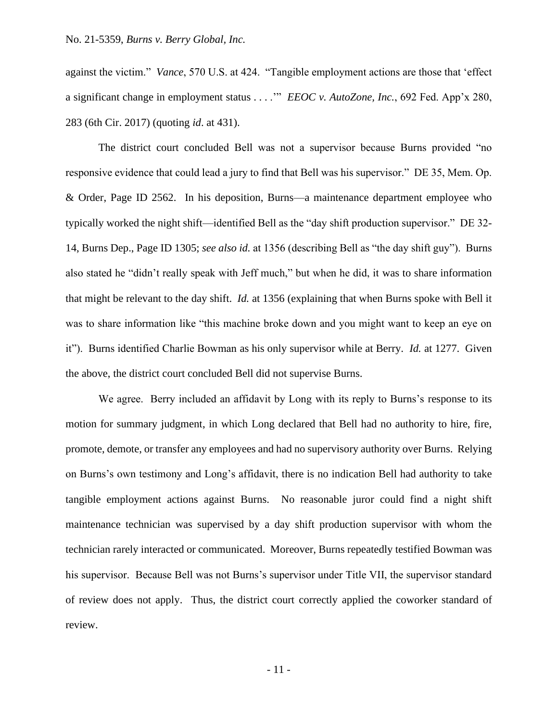against the victim." *Vance*, 570 U.S. at 424. "Tangible employment actions are those that 'effect a significant change in employment status . . . .'" *EEOC v. AutoZone, Inc.*, 692 Fed. App'x 280, 283 (6th Cir. 2017) (quoting *id*. at 431).

The district court concluded Bell was not a supervisor because Burns provided "no responsive evidence that could lead a jury to find that Bell was his supervisor." DE 35, Mem. Op. & Order, Page ID 2562. In his deposition, Burns—a maintenance department employee who typically worked the night shift—identified Bell as the "day shift production supervisor." DE 32- 14, Burns Dep., Page ID 1305; *see also id.* at 1356 (describing Bell as "the day shift guy"). Burns also stated he "didn't really speak with Jeff much," but when he did, it was to share information that might be relevant to the day shift. *Id.* at 1356 (explaining that when Burns spoke with Bell it was to share information like "this machine broke down and you might want to keep an eye on it"). Burns identified Charlie Bowman as his only supervisor while at Berry. *Id.* at 1277. Given the above, the district court concluded Bell did not supervise Burns.

We agree. Berry included an affidavit by Long with its reply to Burns's response to its motion for summary judgment, in which Long declared that Bell had no authority to hire, fire, promote, demote, or transfer any employees and had no supervisory authority over Burns. Relying on Burns's own testimony and Long's affidavit, there is no indication Bell had authority to take tangible employment actions against Burns. No reasonable juror could find a night shift maintenance technician was supervised by a day shift production supervisor with whom the technician rarely interacted or communicated. Moreover, Burns repeatedly testified Bowman was his supervisor. Because Bell was not Burns's supervisor under Title VII, the supervisor standard of review does not apply. Thus, the district court correctly applied the coworker standard of review.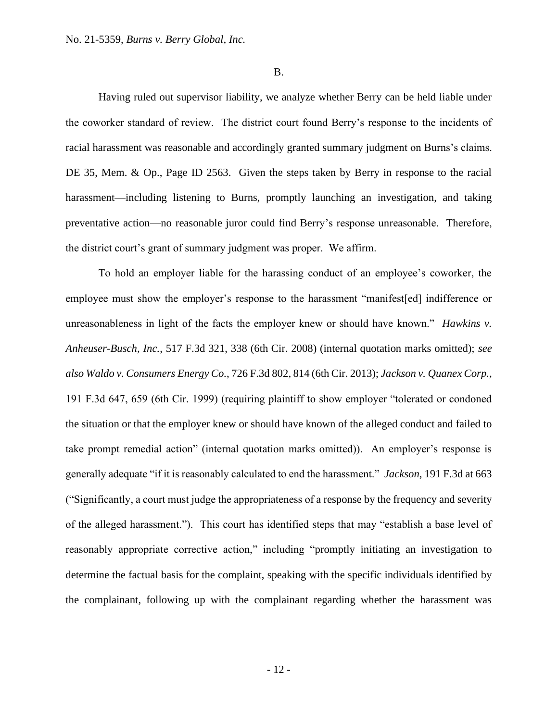#### B.

Having ruled out supervisor liability, we analyze whether Berry can be held liable under the coworker standard of review. The district court found Berry's response to the incidents of racial harassment was reasonable and accordingly granted summary judgment on Burns's claims. DE 35, Mem. & Op., Page ID 2563. Given the steps taken by Berry in response to the racial harassment—including listening to Burns, promptly launching an investigation, and taking preventative action—no reasonable juror could find Berry's response unreasonable. Therefore, the district court's grant of summary judgment was proper. We affirm.

To hold an employer liable for the harassing conduct of an employee's coworker, the employee must show the employer's response to the harassment "manifest[ed] indifference or unreasonableness in light of the facts the employer knew or should have known." *Hawkins v. Anheuser-Busch, Inc.*, 517 F.3d 321, 338 (6th Cir. 2008) (internal quotation marks omitted); *see also Waldo v. Consumers Energy Co.*, 726 F.3d 802, 814 (6th Cir. 2013); *Jackson v. Quanex Corp.*, 191 F.3d 647, 659 (6th Cir. 1999) (requiring plaintiff to show employer "tolerated or condoned the situation or that the employer knew or should have known of the alleged conduct and failed to take prompt remedial action" (internal quotation marks omitted)). An employer's response is generally adequate "if it is reasonably calculated to end the harassment." *Jackson*, 191 F.3d at 663 ("Significantly, a court must judge the appropriateness of a response by the frequency and severity of the alleged harassment."). This court has identified steps that may "establish a base level of reasonably appropriate corrective action," including "promptly initiating an investigation to determine the factual basis for the complaint, speaking with the specific individuals identified by the complainant, following up with the complainant regarding whether the harassment was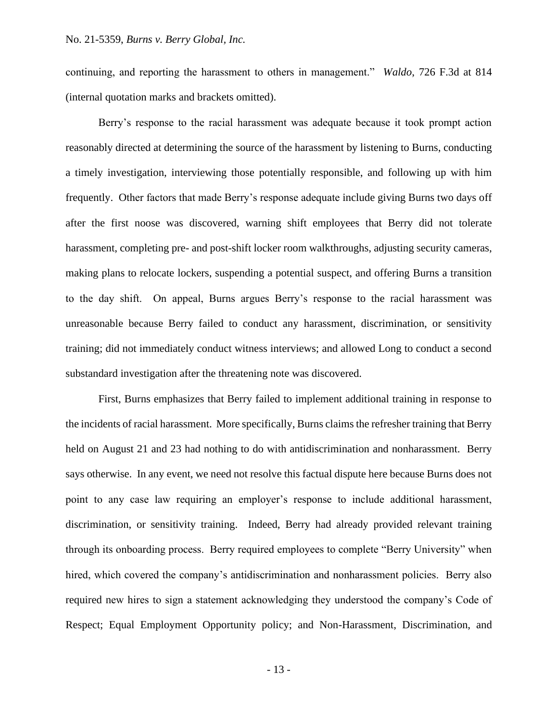continuing, and reporting the harassment to others in management." *Waldo*, 726 F.3d at 814 (internal quotation marks and brackets omitted).

Berry's response to the racial harassment was adequate because it took prompt action reasonably directed at determining the source of the harassment by listening to Burns, conducting a timely investigation, interviewing those potentially responsible, and following up with him frequently. Other factors that made Berry's response adequate include giving Burns two days off after the first noose was discovered, warning shift employees that Berry did not tolerate harassment, completing pre- and post-shift locker room walkthroughs, adjusting security cameras, making plans to relocate lockers, suspending a potential suspect, and offering Burns a transition to the day shift. On appeal, Burns argues Berry's response to the racial harassment was unreasonable because Berry failed to conduct any harassment, discrimination, or sensitivity training; did not immediately conduct witness interviews; and allowed Long to conduct a second substandard investigation after the threatening note was discovered.

First, Burns emphasizes that Berry failed to implement additional training in response to the incidents of racial harassment. More specifically, Burns claims the refresher training that Berry held on August 21 and 23 had nothing to do with antidiscrimination and nonharassment. Berry says otherwise. In any event, we need not resolve this factual dispute here because Burns does not point to any case law requiring an employer's response to include additional harassment, discrimination, or sensitivity training. Indeed, Berry had already provided relevant training through its onboarding process. Berry required employees to complete "Berry University" when hired, which covered the company's antidiscrimination and nonharassment policies. Berry also required new hires to sign a statement acknowledging they understood the company's Code of Respect; Equal Employment Opportunity policy; and Non-Harassment, Discrimination, and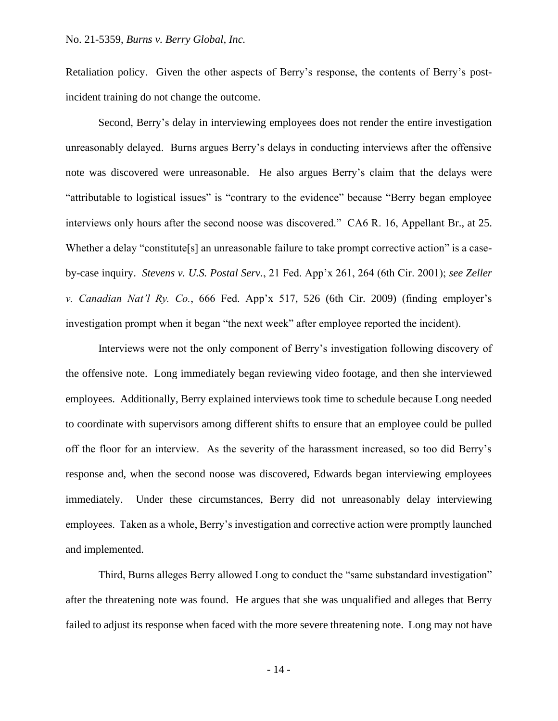Retaliation policy. Given the other aspects of Berry's response, the contents of Berry's postincident training do not change the outcome.

Second, Berry's delay in interviewing employees does not render the entire investigation unreasonably delayed. Burns argues Berry's delays in conducting interviews after the offensive note was discovered were unreasonable. He also argues Berry's claim that the delays were "attributable to logistical issues" is "contrary to the evidence" because "Berry began employee interviews only hours after the second noose was discovered." CA6 R. 16, Appellant Br., at 25. Whether a delay "constitute[s] an unreasonable failure to take prompt corrective action" is a caseby-case inquiry. *Stevens v. U.S. Postal Serv.*, 21 Fed. App'x 261, 264 (6th Cir. 2001); *see Zeller v. Canadian Nat'l Ry. Co.*, 666 Fed. App'x 517, 526 (6th Cir. 2009) (finding employer's investigation prompt when it began "the next week" after employee reported the incident).

Interviews were not the only component of Berry's investigation following discovery of the offensive note. Long immediately began reviewing video footage, and then she interviewed employees. Additionally, Berry explained interviews took time to schedule because Long needed to coordinate with supervisors among different shifts to ensure that an employee could be pulled off the floor for an interview. As the severity of the harassment increased, so too did Berry's response and, when the second noose was discovered, Edwards began interviewing employees immediately. Under these circumstances, Berry did not unreasonably delay interviewing employees. Taken as a whole, Berry's investigation and corrective action were promptly launched and implemented.

Third, Burns alleges Berry allowed Long to conduct the "same substandard investigation" after the threatening note was found. He argues that she was unqualified and alleges that Berry failed to adjust its response when faced with the more severe threatening note. Long may not have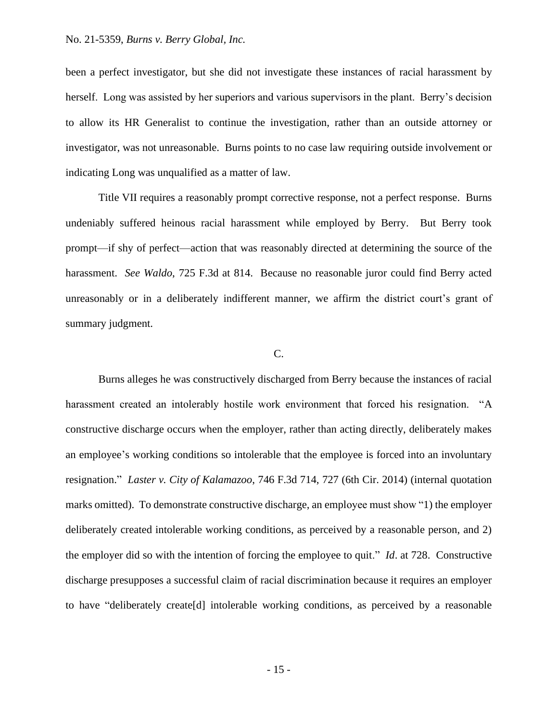been a perfect investigator, but she did not investigate these instances of racial harassment by herself. Long was assisted by her superiors and various supervisors in the plant. Berry's decision to allow its HR Generalist to continue the investigation, rather than an outside attorney or investigator, was not unreasonable. Burns points to no case law requiring outside involvement or indicating Long was unqualified as a matter of law.

Title VII requires a reasonably prompt corrective response, not a perfect response. Burns undeniably suffered heinous racial harassment while employed by Berry. But Berry took prompt—if shy of perfect—action that was reasonably directed at determining the source of the harassment. *See Waldo*, 725 F.3d at 814. Because no reasonable juror could find Berry acted unreasonably or in a deliberately indifferent manner, we affirm the district court's grant of summary judgment.

### C.

Burns alleges he was constructively discharged from Berry because the instances of racial harassment created an intolerably hostile work environment that forced his resignation. "A constructive discharge occurs when the employer, rather than acting directly, deliberately makes an employee's working conditions so intolerable that the employee is forced into an involuntary resignation." *Laster v. City of Kalamazoo*, 746 F.3d 714, 727 (6th Cir. 2014) (internal quotation marks omitted). To demonstrate constructive discharge, an employee must show "1) the employer deliberately created intolerable working conditions, as perceived by a reasonable person, and 2) the employer did so with the intention of forcing the employee to quit." *Id*. at 728. Constructive discharge presupposes a successful claim of racial discrimination because it requires an employer to have "deliberately create[d] intolerable working conditions, as perceived by a reasonable